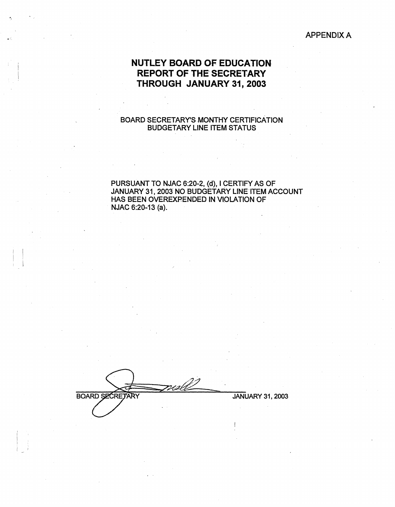### APPENDIX A

# **NUTLEY BOARD OF EDUCATION REPORT OF THE SECRETARY THROUGH JANUARY 31, 2003**

## BOARD SECRETARY'S MONTHY CERTIFICATION BUDGETARY LINE ITEM STATUS

### PURSUANT TO NJAC 6:20-2, {d), I CERTIFY AS OF JANUARY 31, 2003 NO BUDGETARY LINE ITEM ACCOUNT HAS BEEN OVEREXRENDED lN VIOLATION OF NJAC 6:20-13 (a).

**BOARD SECRETARY** 

 $\vert$ ·. I

JANUARY 31, 2003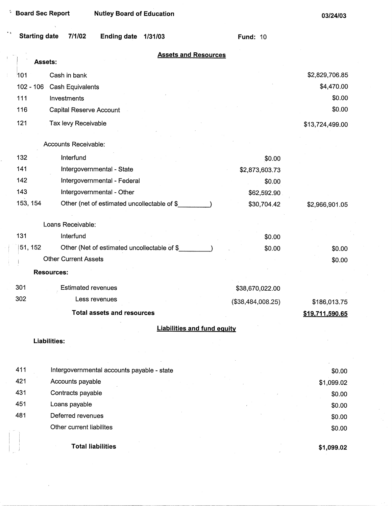| <b>Starting date</b> | 7/1/02<br><b>Ending date</b><br>1/31/03      | <b>Fund: 10</b>   |                 |
|----------------------|----------------------------------------------|-------------------|-----------------|
| Assets:              | <b>Assets and Resources</b>                  |                   |                 |
| 101                  | Cash in bank                                 |                   | \$2,829,706.85  |
| $102 - 106$          | Cash Equivalents                             |                   | \$4,470.00      |
| 111                  | Investments                                  |                   | \$0.00          |
| 116                  | Capital Reserve Account                      |                   | \$0.00          |
| 121                  |                                              |                   |                 |
|                      | Tax levy Receivable                          |                   | \$13,724,499.00 |
|                      | Accounts Receivable:                         |                   |                 |
| 132                  | Interfund                                    | \$0.00            |                 |
| 141                  | Intergovernmental - State                    | \$2,873,603.73    |                 |
| 142                  | Intergovernmental - Federal                  | \$0.00            |                 |
| 143                  | Intergovernmental - Other                    | \$62,592.90       |                 |
| 153, 154             | Other (net of estimated uncollectable of \$  | \$30,704.42       | \$2,966,901.05  |
|                      | Loans Receivable:                            |                   |                 |
| 131                  | Interfund                                    | \$0.00            |                 |
| 51, 152              | Other (Net of estimated uncollectable of \$_ | \$0.00            | \$0.00          |
|                      | <b>Other Current Assets</b>                  |                   | \$0.00          |
|                      | <b>Resources:</b>                            |                   |                 |
| 301                  | <b>Estimated revenues</b>                    | \$38,670,022.00   |                 |
| 302                  | Less revenues                                |                   |                 |
|                      |                                              | (\$38,484,008.25) | \$186,013.75    |
|                      | <b>Total assets and resources</b>            |                   | \$19.711.590.65 |
|                      | <b>Liabilities and fund equity</b>           |                   |                 |
|                      | Liabilities:                                 |                   |                 |
|                      |                                              |                   |                 |
| 411                  | Intergovernmental accounts payable - state   |                   | \$0.00          |
| 421                  | Accounts payable                             |                   | \$1,099.02      |
| 431                  | Contracts payable                            |                   | \$0.00          |
| 451                  | Loans payable                                |                   | \$0.00          |
| 481                  | Deferred revenues                            |                   | \$0.00          |

Other current liabilites

**Total liabilities** 

**\$1,099.02** 

\$0.00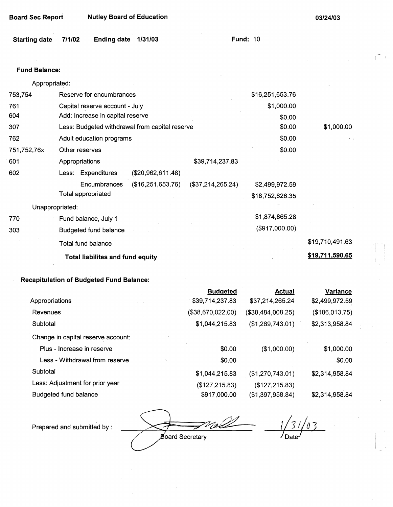| <b>Board Sec Report</b> | <b>Nutley Board of Education</b> |
|-------------------------|----------------------------------|
|-------------------------|----------------------------------|

**03/24/03** 

| Starting date 7/1/02 |  | Ending date 1/31/03 |  | <b>Fund: 10</b> |  |
|----------------------|--|---------------------|--|-----------------|--|
|----------------------|--|---------------------|--|-----------------|--|

### **Fund Balance:**

753,754 761 604 Appropriated: Reserve for encumbrances Capital reserve account - July Add: Increase in capital reserve 307 762 751,752,76x 601 Less: Budgeted withdrawal from capital reserve Adult education programs 602 770 303 Other reserves Appropriations \$39,714,237.83 Less: Expenditures (\$20,962,611.48) Encumbrances (\$16,251,653.76) (\$37,214,265.24) Total appropriated Unappropriated: Fund balance, July 1 Budgeted fund balance Total fund balance **Total liabilites and fund equity**  \$16,251,653.76 \$1,000.00 \$0.00 \$0.00 \$0.00 \$0.00 \$2,499,972.59 \$18,752,626.35 \$1,874,865.28 (\$917,000.00) \$1,000.00 \$19,710,491.63 **\$19,711,590.65** 

### **Recapitulation of Budgeted Fund Balance:**

|                                    | <b>Budgeted</b>   | <u>Actual</u>     | <b>Variance</b> |
|------------------------------------|-------------------|-------------------|-----------------|
| Appropriations                     | \$39,714,237.83   | \$37,214,265.24   | \$2,499,972.59  |
| Revenues                           | (\$38,670,022.00) | (\$38,484,008.25) | (\$186,013.75)  |
| Subtotal                           | \$1,044,215.83    | (\$1,269,743.01)  | \$2,313,958.84  |
| Change in capital reserve account: |                   |                   |                 |
| Plus - Increase in reserve         | \$0.00            | (\$1,000.00)      | \$1,000.00      |
| Less - Withdrawal from reserve     | \$0.00            |                   | \$0.00          |
| Subtotal                           | \$1,044,215.83    | (\$1,270,743.01)  | \$2,314,958.84  |
| Less: Adjustment for prior year    | (\$127,215.83)    | (\$127, 215.83)   |                 |
| Budgeted fund balance              | \$917,000.00      | (\$1,397,958.84)  | \$2,314,958.84  |

Prepared and submitted by :

**Board Secretary** 

*loatel*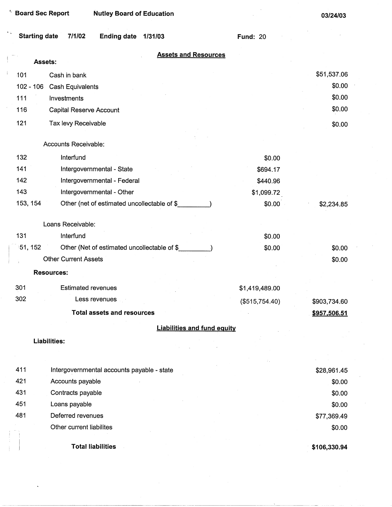| <b>Board Sec Report</b> | <b>Nutley Board of Education</b>            |                 | 03/24/03     |
|-------------------------|---------------------------------------------|-----------------|--------------|
| <b>Starting date</b>    | 7/1/02<br><b>Ending date</b><br>1/31/03     | <b>Fund: 20</b> |              |
|                         | <b>Assets and Resources</b>                 |                 |              |
|                         | Assets:                                     |                 |              |
| 101                     | Cash in bank                                |                 | \$51,537.06  |
| $102 - 106$             | <b>Cash Equivalents</b>                     |                 | \$0.00       |
| 111                     | Investments                                 |                 | \$0.00       |
| 116                     | <b>Capital Reserve Account</b>              |                 | \$0.00       |
| 121                     | Tax levy Receivable                         |                 | \$0.00       |
|                         |                                             |                 |              |
|                         | Accounts Receivable:                        |                 |              |
| 132                     | Interfund                                   | \$0.00          |              |
| 141                     | Intergovernmental - State                   | \$694.17        |              |
| 142                     | Intergovernmental - Federal                 | \$440.96        |              |
| 143                     | Intergovernmental - Other                   | \$1,099.72      |              |
| 153, 154                | Other (net of estimated uncollectable of \$ | \$0.00          | \$2,234.85   |
|                         |                                             |                 |              |
|                         | Loans Receivable:                           |                 |              |
| 131                     | Interfund                                   | \$0.00          |              |
| 51, 152                 | Other (Net of estimated uncollectable of \$ | \$0.00          | \$0.00       |
|                         | <b>Other Current Assets</b>                 |                 | \$0.00       |
|                         | <b>Resources:</b>                           |                 |              |
| 301                     | <b>Estimated revenues</b>                   | \$1,419,489.00  |              |
| 302                     | Less revenues                               | (\$515,754.40)  | \$903,734.60 |
|                         | <b>Total assets and resources</b>           |                 | \$957,506.51 |
|                         | <b>Liabilities and fund equity</b>          |                 |              |
|                         | <b>Liabilities:</b>                         |                 |              |
|                         |                                             |                 |              |
|                         |                                             |                 |              |
| 411                     | Intergovernmental accounts payable - state  |                 | \$28,961.45  |
| 421                     | Accounts payable                            |                 | \$0.00       |
| 431                     | Contracts payable                           |                 | \$0.00       |
| 451                     | Loans payable                               |                 | \$0.00       |
| 481                     | Deferred revenues                           |                 | \$77,369.49  |
|                         | Other current liabilites                    |                 | \$0.00       |
|                         |                                             |                 |              |
|                         | <b>Total liabilities</b>                    |                 | \$106,330.94 |

 $\hat{\theta}$ 

 $\frac{1}{\sqrt{2}}$ 

 $\hat{\mathcal{S}}$ 

 $\sim$ 

--------------- . -·--·-----·-----

 $\frac{1}{2}$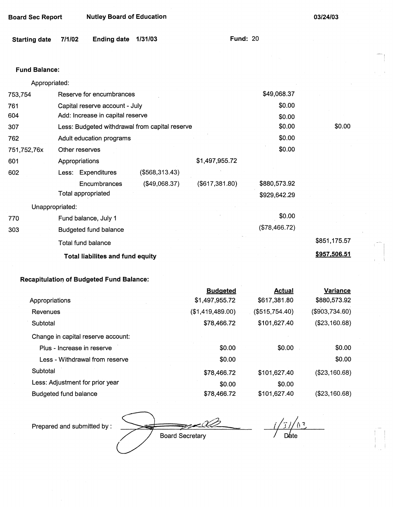| <b>Board Sec Report</b> |                                                | <b>Nutley Board of Education</b> |                 |             | 03/24/03 |  |
|-------------------------|------------------------------------------------|----------------------------------|-----------------|-------------|----------|--|
| <b>Starting date</b>    | <b>Ending date</b><br>7/1/02                   | 1/31/03                          | <b>Fund: 20</b> |             |          |  |
|                         |                                                |                                  |                 |             |          |  |
| <b>Fund Balance:</b>    |                                                |                                  |                 |             |          |  |
| Appropriated:           |                                                |                                  |                 |             |          |  |
| 753,754                 | Reserve for encumbrances                       |                                  |                 | \$49,068.37 |          |  |
| 761                     | Capital reserve account - July                 |                                  |                 | \$0.00      |          |  |
| 604                     | Add: Increase in capital reserve               |                                  |                 | \$0.00      |          |  |
| 307                     | Less: Budgeted withdrawal from capital reserve |                                  |                 | \$0.00      | \$0.00   |  |
| 762                     | Adult education programs                       |                                  |                 | \$0.00      |          |  |
| 751,752,76x             | Other reserves                                 |                                  |                 | \$0.00      |          |  |
| 601                     | Appropriations                                 |                                  | \$1,497,955.72  |             |          |  |
| 602                     | Less: Expenditures                             | (\$568,313.43)                   |                 |             |          |  |

#### **Encumbrances** Total appropriated (\$49,068.37) Unappropriated: 770 **303**  Fund balance, July 1 Budgeted fund balance Total fund balance **Total liabilites and fund equity**  (\$617,381.80) \$880,573.92 \$929,642.29 \$0.00 (\$78,466.72) \$851,175.57 **\$957 .506.51**

## **Recapitulation of Budgeted Fund Balance:**

|                                    | <b>Budgeted</b>  | <b>Actual</b>  | <b>Variance</b> |
|------------------------------------|------------------|----------------|-----------------|
| Appropriations                     | \$1,497,955.72   | \$617,381.80   | \$880,573.92    |
| Revenues                           | (\$1,419,489.00) | (\$515,754.40) | (\$903,734.60)  |
| Subtotal                           | \$78,466.72      | \$101,627.40   | (\$23,160.68)   |
| Change in capital reserve account: |                  |                |                 |
| Plus - Increase in reserve         | \$0.00           | \$0.00         | \$0.00          |
| Less - Withdrawal from reserve     | \$0.00           |                | \$0.00          |
| Subtotal                           | \$78,466.72      | \$101,627.40   | (\$23,160.68)   |
| Less: Adjustment for prior year    | \$0.00           | \$0.00         |                 |
| Budgeted fund balance              | \$78,466.72      | \$101,627.40   | (\$23,160.68)   |

 $\sqrt{0.5}$  $\sqrt{j}/j$ Board Secretary **Date** 

Prepared and submitted by: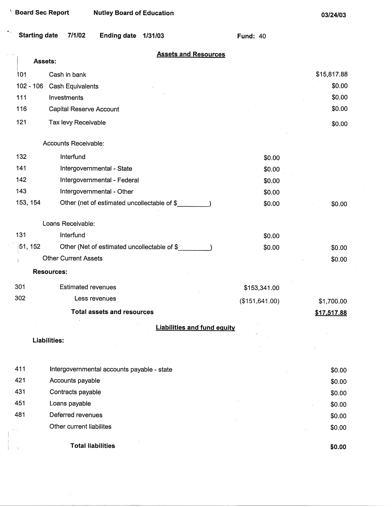**Total liabilities** 

**\$0.00** 

| Starting date 7/1/02 |  | Ending date 1/31/03 |  | <b>Fund: 40</b> |
|----------------------|--|---------------------|--|-----------------|
|----------------------|--|---------------------|--|-----------------|

|             | <b>Assets and Resources</b><br>Assets:      |                 |             |
|-------------|---------------------------------------------|-----------------|-------------|
| 101         | Cash in bank                                |                 | \$15,817.88 |
| $102 - 106$ | <b>Cash Equivalents</b>                     |                 | \$0.00      |
| 111         | Investments                                 |                 | \$0.00      |
| 116         | Capital Reserve Account                     |                 | \$0.00      |
| 121         | Tax levy Receivable                         |                 | \$0.00      |
|             | Accounts Receivable:                        |                 |             |
| 132         | Interfund                                   | \$0.00          |             |
| 141         | Intergovernmental - State                   | \$0.00          |             |
| 142         | Intergovernmental - Federal                 | \$0.00          |             |
| 143         | Intergovernmental - Other                   | \$0.00          |             |
| 153, 154    | Other (net of estimated uncollectable of \$ | \$0.00          | \$0.00      |
|             | Loans Receivable:                           |                 |             |
| 131         | Interfund                                   | \$0.00          |             |
| 51, 152     | Other (Net of estimated uncollectable of \$ | \$0.00          | \$0.00      |
|             | <b>Other Current Assets</b>                 |                 | \$0.00      |
|             | <b>Resources:</b>                           |                 |             |
| 301         | <b>Estimated revenues</b>                   | \$153,341.00    |             |
| 302         | Less revenues                               | (\$151, 641.00) | \$1,700.00  |
|             | <b>Total assets and resources</b>           |                 | \$17,517.88 |
|             | <b>Liabilities and fund equity</b>          |                 |             |
|             | <b>Liabilities:</b>                         |                 |             |
|             |                                             |                 |             |
| 411         | Intergovernmental accounts payable - state  |                 | \$0.00      |
| 421         | Accounts payable                            |                 | \$0.00      |
| 431         | Contracts payable                           |                 | \$0.00      |
| 451         | Loans payable                               |                 | \$0.00      |
| 481         | Deferred revenues                           |                 | \$0.00      |
|             | Other current liabilites                    |                 | \$0.00      |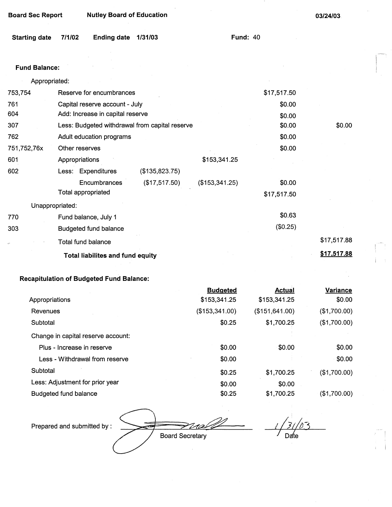| <b>Board Sec Report</b> | <b>Nutley Board of Education</b> |
|-------------------------|----------------------------------|
|                         |                                  |

**03/24/03** 

**Fund:** 40

| Starting date 7/1/02 |  | Ending date 1/31/03 |  |  |
|----------------------|--|---------------------|--|--|
|----------------------|--|---------------------|--|--|

### **Fund Balance:**

| Appropriated:   |                                                |                |             |             |
|-----------------|------------------------------------------------|----------------|-------------|-------------|
| 753,754         | Reserve for encumbrances                       |                | \$17,517.50 |             |
| 761             | Capital reserve account - July                 |                | \$0.00      |             |
| 604             | Add: Increase in capital reserve               |                | \$0.00      |             |
| 307             | Less: Budgeted withdrawal from capital reserve |                | \$0.00      | \$0.00      |
| 762             | Adult education programs                       |                | \$0.00      |             |
| 751,752,76x     | Other reserves                                 |                | \$0.00      |             |
| 601             | Appropriations                                 | \$153,341.25   |             |             |
| 602             | Less: Expenditures<br>(\$135,823.75)           |                |             |             |
|                 | (\$17,517.50)<br><b>Encumbrances</b>           | (\$153,341.25) | \$0.00      |             |
|                 | Total appropriated                             |                | \$17,517.50 |             |
| Unappropriated: |                                                |                |             |             |
| 770             | Fund balance, July 1                           |                | \$0.63      |             |
| 303             | <b>Budgeted fund balance</b>                   |                | (\$0.25)    |             |
|                 | Total fund balance                             |                |             | \$17,517.88 |
|                 | <b>Total liabilites and fund equity</b>        |                |             | \$17,517.88 |

### **Recapitulation of Budgeted Fund Balance:**

|                                    | <b>Budgeted</b> | <b>Actual</b>   | <b>Variance</b> |
|------------------------------------|-----------------|-----------------|-----------------|
| Appropriations                     | \$153,341.25    | \$153,341.25    | \$0.00          |
| Revenues                           | (\$153,341.00)  | (\$151, 641.00) | (\$1,700.00)    |
| Subtotal                           | \$0.25          | \$1,700.25      | (\$1,700.00)    |
| Change in capital reserve account: |                 |                 |                 |
| Plus - Increase in reserve         | \$0.00          | \$0.00          | \$0.00          |
| Less - Withdrawal from reserve     | \$0.00          |                 | $\$0.00$        |
| Subtotal                           | \$0.25          | \$1,700.25      | (\$1,700.00)    |
| Less: Adjustment for prior year    | \$0.00          | \$0.00          |                 |
| Budgeted fund balance              | \$0.25          | \$1,700.25      | (\$1,700.00)    |

Prepared and submitted by:

Board Secretary

 $\bar{z}$ 

Date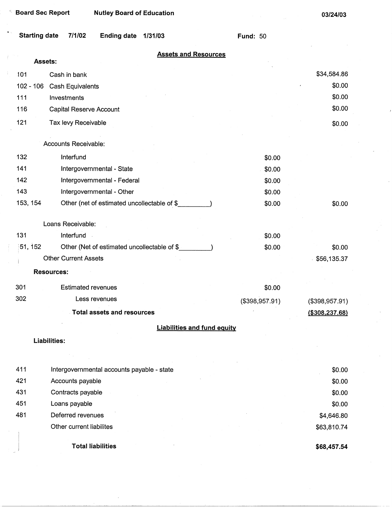| <b>Board Sec Report</b> | <b>Nutley Board of Education</b>            |                 | 03/24/03          |
|-------------------------|---------------------------------------------|-----------------|-------------------|
| <b>Starting date</b>    | 7/1/02<br><b>Ending date</b><br>1/31/03     | <b>Fund: 50</b> |                   |
|                         | <b>Assets and Resources</b>                 |                 |                   |
|                         | <b>Assets:</b>                              |                 |                   |
| 101                     | Cash in bank                                |                 | \$34,584.86       |
| $102 - 106$             | <b>Cash Equivalents</b>                     |                 | \$0.00            |
| 111                     | Investments                                 |                 | \$0.00            |
| 116                     | <b>Capital Reserve Account</b>              |                 | \$0.00            |
| 121                     | Tax levy Receivable                         |                 | \$0.00            |
|                         | Accounts Receivable:                        |                 |                   |
| 132                     | Interfund                                   | \$0.00          |                   |
| 141                     | Intergovernmental - State                   | \$0.00          |                   |
| 142                     | Intergovernmental - Federal                 | \$0.00          |                   |
| 143                     | Intergovernmental - Other                   | \$0.00          |                   |
| 153, 154                | Other (net of estimated uncollectable of \$ | \$0.00          | \$0.00            |
|                         | Loans Receivable:                           |                 |                   |
| 131                     | Interfund                                   | \$0.00          |                   |
| 51, 152                 | Other (Net of estimated uncollectable of \$ | \$0.00          | \$0.00            |
|                         | <b>Other Current Assets</b>                 |                 | \$56,135.37       |
|                         | <b>Resources:</b>                           |                 |                   |
| 301                     | <b>Estimated revenues</b>                   | \$0.00          |                   |
| 302                     | Less revenues                               | (\$398,957.91)  | (\$398,957.91)    |
|                         | Total assets and resources                  |                 | $($ \$308,237.68) |
|                         | <b>Liabilities and fund equity</b>          |                 |                   |
|                         | <b>Liabilities:</b>                         |                 |                   |
|                         |                                             |                 |                   |
| 411                     | Intergovernmental accounts payable - state  |                 | \$0.00            |
| 421                     | Accounts payable                            |                 | \$0.00            |
| 431                     | Contracts payable                           |                 | \$0.00            |
| 451                     | Loans payable                               |                 | \$0.00            |
| 481                     | Deferred revenues                           |                 | \$4,646.80        |
|                         | Other current liabilites                    |                 | \$63,810.74       |

**Total liabilities** 

**\$68,457.54**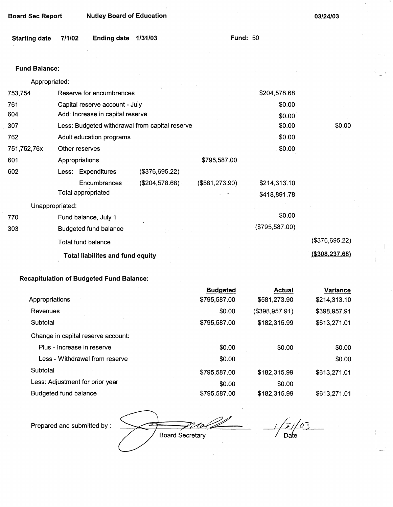| <b>Board Sec Report</b> |        | <b>Nutley Board of Education</b> |                                                |                |                 | 03/24/03 |  |
|-------------------------|--------|----------------------------------|------------------------------------------------|----------------|-----------------|----------|--|
| <b>Starting date</b>    | 7/1/02 | <b>Ending date</b>               | 1/31/03                                        |                | <b>Fund: 50</b> |          |  |
|                         |        |                                  |                                                |                |                 |          |  |
| <b>Fund Balance:</b>    |        |                                  |                                                |                |                 |          |  |
| Appropriated:           |        |                                  |                                                |                |                 |          |  |
| 753,754                 |        | Reserve for encumbrances         |                                                |                | \$204,578.68    |          |  |
| 761                     |        | Capital reserve account - July   |                                                |                | \$0.00          |          |  |
| 604                     |        | Add: Increase in capital reserve |                                                |                | \$0.00          |          |  |
| 307                     |        |                                  | Less: Budgeted withdrawal from capital reserve |                | \$0.00          | \$0.00   |  |
| 762                     |        | Adult education programs         |                                                |                | \$0.00          |          |  |
| 751,752,76x             |        | Other reserves                   |                                                |                | \$0.00          |          |  |
| 601                     |        | Appropriations                   |                                                | \$795,587.00   |                 |          |  |
| 602                     |        | Less: Expenditures               | (\$376,695.22)                                 |                |                 |          |  |
|                         |        | <b>Encumbrances</b>              | (\$204,578.68)                                 | (\$581,273.90) | \$214,313.10    |          |  |
|                         |        | Total appropriated               |                                                |                | \$418,891.78    |          |  |

Unappropriated:

| 770 | Fund balance, July 1                    | \$0.00         |                 |
|-----|-----------------------------------------|----------------|-----------------|
| 303 | Budgeted fund balance<br>医皮肤细胞 计相关      | (\$795,587.00) |                 |
|     | Total fund balance                      |                | (\$376,695.22)  |
|     | <b>Total liabilites and fund equity</b> |                | (\$308, 237.68) |

## **Recapitulation of Budgeted Fund Balance:**

|                                    | <b>Budgeted</b> | Actual         | <b>Variance</b> |
|------------------------------------|-----------------|----------------|-----------------|
| Appropriations                     | \$795,587.00    | \$581,273.90   | \$214,313.10    |
| Revenues                           | \$0.00          | (\$398,957.91) | \$398,957.91    |
| Subtotal                           | \$795,587.00    | \$182,315.99   | \$613,271.01    |
| Change in capital reserve account: |                 |                |                 |
| Plus - Increase in reserve         | \$0.00          | \$0.00         | \$0.00          |
| Less - Withdrawal from reserve     | \$0.00          |                | \$0.00          |
| Subtotal                           | \$795,587.00    | \$182,315.99   | \$613,271.01    |
| Less: Adjustment for prior year    | \$0.00          | \$0.00         |                 |
| Budgeted fund balance              | \$795,587.00    | \$182,315.99   | \$613,271.01    |

Prepared and submitted by :

Board Secretary

 $\delta$ 3 Date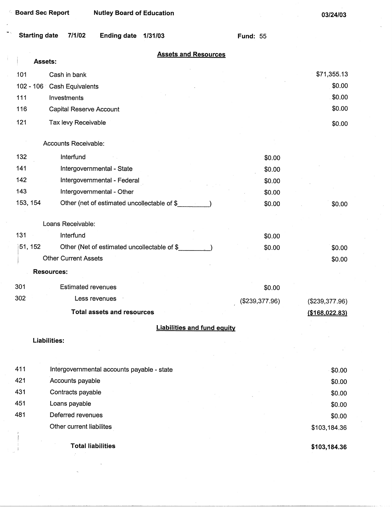|                      | <b>Board Sec Report</b><br><b>Nutley Board of Education</b> |                                    |                 | 03/24/03         |
|----------------------|-------------------------------------------------------------|------------------------------------|-----------------|------------------|
| <b>Starting date</b> | 7/1/02<br><b>Ending date</b><br>1/31/03                     |                                    | <b>Fund: 55</b> |                  |
|                      | Assets:                                                     | <b>Assets and Resources</b>        |                 |                  |
| 101                  | Cash in bank                                                |                                    |                 | \$71,355.13      |
|                      | 102 - 106 Cash Equivalents                                  |                                    |                 | \$0.00           |
| 111                  | Investments                                                 |                                    |                 | \$0.00           |
| 116                  | <b>Capital Reserve Account</b>                              |                                    |                 | \$0.00           |
|                      |                                                             |                                    |                 |                  |
| 121                  | Tax levy Receivable                                         |                                    |                 | \$0.00           |
|                      | Accounts Receivable:                                        |                                    |                 |                  |
| 132                  | Interfund                                                   |                                    | \$0.00          |                  |
| 141                  | Intergovernmental - State                                   |                                    | \$0.00          |                  |
| 142                  | Intergovernmental - Federal                                 |                                    | \$0.00          |                  |
| 143                  | Intergovernmental - Other                                   |                                    | \$0.00          |                  |
| 153, 154             | Other (net of estimated uncollectable of \$                 |                                    | \$0.00          | \$0.00           |
|                      |                                                             |                                    |                 |                  |
|                      | Loans Receivable:                                           |                                    |                 |                  |
| 131                  | Interfund                                                   |                                    | \$0.00          |                  |
| 51, 152              | Other (Net of estimated uncollectable of \$                 |                                    | \$0.00          | \$0.00           |
|                      | <b>Other Current Assets</b>                                 |                                    |                 | \$0.00           |
|                      | <b>Resources:</b>                                           |                                    |                 |                  |
| 301                  | <b>Estimated revenues</b>                                   |                                    | \$0.00          |                  |
| 302                  | Less revenues                                               |                                    | (\$239,377.96)  | (\$239,377.96)   |
|                      | <b>Total assets and resources</b>                           |                                    |                 | ( \$168, 022.83) |
|                      |                                                             |                                    |                 |                  |
|                      |                                                             | <b>Liabilities and fund equity</b> |                 |                  |
|                      | Liabilities:                                                |                                    |                 |                  |
|                      |                                                             |                                    |                 |                  |
| 411                  | Intergovernmental accounts payable - state                  |                                    |                 | \$0.00           |
| 421                  | Accounts payable                                            |                                    |                 | \$0.00           |
| 431                  | Contracts payable                                           |                                    |                 | \$0.00           |
| 451                  | Loans payable                                               |                                    |                 | \$0.00           |
| 481                  | Deferred revenues                                           |                                    |                 | \$0.00           |
|                      | Other current liabilites                                    |                                    |                 | \$103,184.36     |
|                      | <b>Total liabilities</b>                                    |                                    |                 | \$103,184.36     |
|                      |                                                             |                                    |                 |                  |